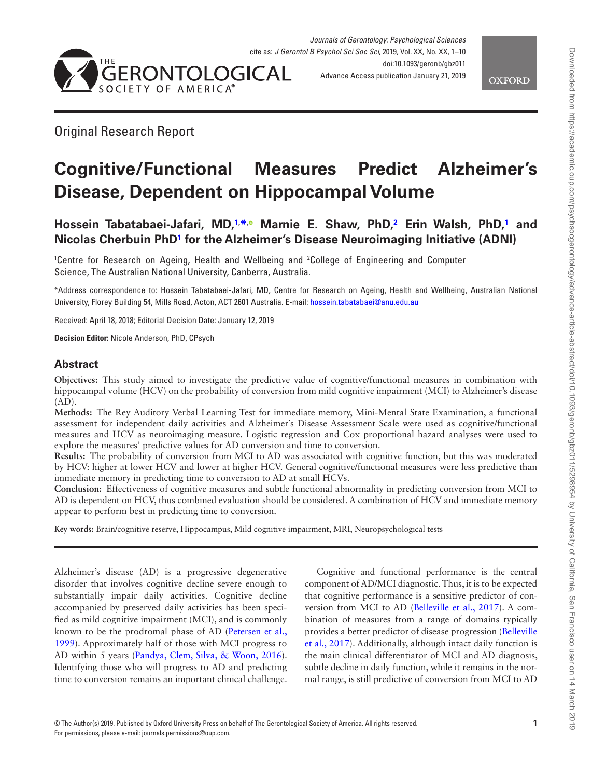



# Original Research Report

# **Cognitive/Functional Measures Predict Alzheimer's Disease, Dependent on Hippocampal Volume**

# **Hossein Tabatabaei-Jafari, MD,[1,](#page-0-0) [\\*](#page-0-1)[,](http://orcid.org/0000-0003-4871-1226) Marnie E. Shaw, PhD[,2](#page-0-2) Erin Walsh, PhD,[1](#page-0-0) and Nicolas Cherbuin PhD[1](#page-0-0) for the Alzheimer's Disease Neuroimaging Initiative (ADNI)**

<span id="page-0-2"></span><span id="page-0-0"></span>1 Centre for Research on Ageing, Health and Wellbeing and 2 College of Engineering and Computer Science, The Australian National University, Canberra, Australia.

<span id="page-0-1"></span>\*Address correspondence to: Hossein Tabatabaei-Jafari, MD, Centre for Research on Ageing, Health and Wellbeing, Australian National University, Florey Building 54, Mills Road, Acton, ACT 2601 Australia. E-mail: [hossein.tabatabaei@anu.edu.au](mailto:hossein.tabatabaei@anu.edu.au?subject=)

Received: April 18, 2018; Editorial Decision Date: January 12, 2019

**Decision Editor:** Nicole Anderson, PhD, CPsych

# **Abstract**

**Objectives:** This study aimed to investigate the predictive value of cognitive/functional measures in combination with hippocampal volume (HCV) on the probability of conversion from mild cognitive impairment (MCI) to Alzheimer's disease  $(AD)$ .

**Methods:** The Rey Auditory Verbal Learning Test for immediate memory, Mini-Mental State Examination, a functional assessment for independent daily activities and Alzheimer's Disease Assessment Scale were used as cognitive/functional measures and HCV as neuroimaging measure. Logistic regression and Cox proportional hazard analyses were used to explore the measures' predictive values for AD conversion and time to conversion.

**Results:** The probability of conversion from MCI to AD was associated with cognitive function, but this was moderated by HCV: higher at lower HCV and lower at higher HCV. General cognitive/functional measures were less predictive than immediate memory in predicting time to conversion to AD at small HCVs.

**Conclusion:** Effectiveness of cognitive measures and subtle functional abnormality in predicting conversion from MCI to AD is dependent on HCV, thus combined evaluation should be considered. A combination of HCV and immediate memory appear to perform best in predicting time to conversion.

**Key words:** Brain/cognitive reserve, Hippocampus, Mild cognitive impairment, MRI, Neuropsychological tests

Alzheimer's disease (AD) is a progressive degenerative disorder that involves cognitive decline severe enough to substantially impair daily activities. Cognitive decline accompanied by preserved daily activities has been specified as mild cognitive impairment (MCI), and is commonly known to be the prodromal phase of AD ([Petersen et al.,](#page-8-0)  [1999](#page-8-0)). Approximately half of those with MCI progress to AD within 5 years ([Pandya, Clem, Silva, & Woon, 2016](#page-8-1)). Identifying those who will progress to AD and predicting time to conversion remains an important clinical challenge.

Cognitive and functional performance is the central component of AD/MCI diagnostic. Thus, it is to be expected that cognitive performance is a sensitive predictor of conversion from MCI to AD [\(Belleville et al., 2017\)](#page-7-0). A combination of measures from a range of domains typically provides a better predictor of disease progression [\(Belleville](#page-7-0)  [et al., 2017\)](#page-7-0). Additionally, although intact daily function is the main clinical differentiator of MCI and AD diagnosis, subtle decline in daily function, while it remains in the normal range, is still predictive of conversion from MCI to AD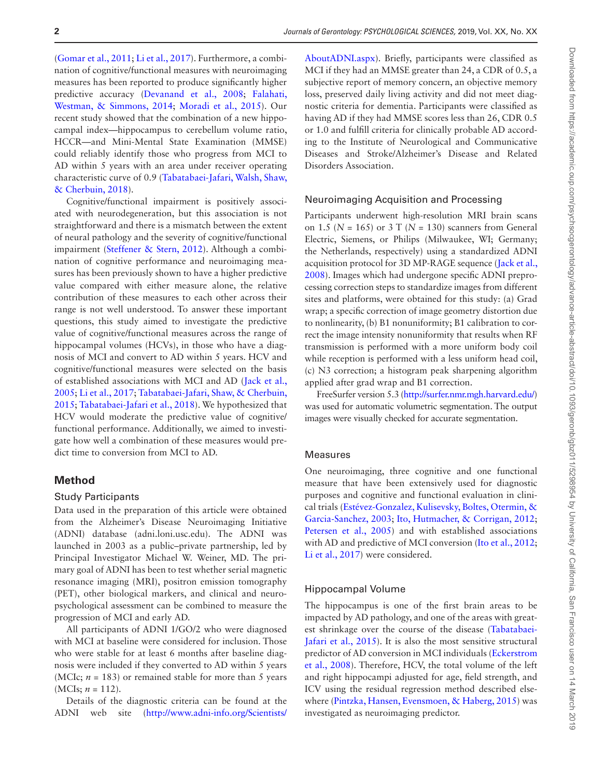([Gomar et al., 2011](#page-8-2); [Li et al., 2017\)](#page-8-3). Furthermore, a combination of cognitive/functional measures with neuroimaging measures has been reported to produce significantly higher predictive accuracy ([Devanand et al., 2008;](#page-7-1) [Falahati,](#page-8-4)  [Westman, & Simmons, 2014;](#page-8-4) [Moradi et al., 2015\)](#page-8-5). Our recent study showed that the combination of a new hippocampal index—hippocampus to cerebellum volume ratio, HCCR—and Mini-Mental State Examination (MMSE) could reliably identify those who progress from MCI to AD within 5 years with an area under receiver operating characteristic curve of 0.9 [\(Tabatabaei-Jafari, Walsh, Shaw,](#page-9-0)  [& Cherbuin, 2018\)](#page-9-0).

Cognitive/functional impairment is positively associated with neurodegeneration, but this association is not straightforward and there is a mismatch between the extent of neural pathology and the severity of cognitive/functional impairment [\(Steffener & Stern, 2012](#page-8-6)). Although a combination of cognitive performance and neuroimaging measures has been previously shown to have a higher predictive value compared with either measure alone, the relative contribution of these measures to each other across their range is not well understood. To answer these important questions, this study aimed to investigate the predictive value of cognitive/functional measures across the range of hippocampal volumes (HCVs), in those who have a diagnosis of MCI and convert to AD within 5 years. HCV and cognitive/functional measures were selected on the basis of established associations with MCI and AD ([Jack et al.,](#page-8-7)  [2005](#page-8-7); [Li et al., 2017;](#page-8-3) [Tabatabaei-Jafari, Shaw, & Cherbuin,](#page-9-1)  [2015](#page-9-1); [Tabatabaei-Jafari et al., 2018\)](#page-9-0). We hypothesized that HCV would moderate the predictive value of cognitive/ functional performance. Additionally, we aimed to investigate how well a combination of these measures would predict time to conversion from MCI to AD.

# **Method**

#### Study Participants

Data used in the preparation of this article were obtained from the Alzheimer's Disease Neuroimaging Initiative (ADNI) database (adni.loni.usc.edu). The ADNI was launched in 2003 as a public–private partnership, led by Principal Investigator Michael W. Weiner, MD. The primary goal of ADNI has been to test whether serial magnetic resonance imaging (MRI), positron emission tomography (PET), other biological markers, and clinical and neuropsychological assessment can be combined to measure the progression of MCI and early AD.

All participants of ADNI 1/GO/2 who were diagnosed with MCI at baseline were considered for inclusion. Those who were stable for at least 6 months after baseline diagnosis were included if they converted to AD within 5 years (MCIc;  $n = 183$ ) or remained stable for more than 5 years  $(MCIs; n = 112)$ .

Details of the diagnostic criteria can be found at the ADNI web site [\(http://www.adni-info.org/Scientists/](http://www.adni-info.org/Scientists/AboutADNI.aspx)

[AboutADNI.aspx\)](http://www.adni-info.org/Scientists/AboutADNI.aspx). Briefly, participants were classified as MCI if they had an MMSE greater than 24, a CDR of 0.5, a subjective report of memory concern, an objective memory loss, preserved daily living activity and did not meet diagnostic criteria for dementia. Participants were classified as having AD if they had MMSE scores less than 26, CDR 0.5 or 1.0 and fulfill criteria for clinically probable AD according to the Institute of Neurological and Communicative Diseases and Stroke/Alzheimer's Disease and Related Disorders Association.

#### Neuroimaging Acquisition and Processing

Participants underwent high-resolution MRI brain scans on 1.5 ( $N = 165$ ) or 3 T ( $N = 130$ ) scanners from General Electric, Siemens, or Philips (Milwaukee, WI; Germany; the Netherlands, respectively) using a standardized ADNI acquisition protocol for 3D MP-RAGE sequence [\(Jack et al.,](#page-8-8)  [2008](#page-8-8)). Images which had undergone specific ADNI preprocessing correction steps to standardize images from different sites and platforms, were obtained for this study: (a) Grad wrap; a specific correction of image geometry distortion due to nonlinearity, (b) B1 nonuniformity; B1 calibration to correct the image intensity nonuniformity that results when RF transmission is performed with a more uniform body coil while reception is performed with a less uniform head coil, (c) N3 correction; a histogram peak sharpening algorithm applied after grad wrap and B1 correction.

FreeSurfer version 5.3 [\(http://surfer.nmr.mgh.harvard.edu/\)](http://surfer.nmr.mgh.harvard.edu/) was used for automatic volumetric segmentation. The output images were visually checked for accurate segmentation.

#### Measures

One neuroimaging, three cognitive and one functional measure that have been extensively used for diagnostic purposes and cognitive and functional evaluation in clinical trials [\(Estévez-Gonzalez, Kulisevsky, Boltes, Otermin, &](#page-8-9)  [Garcia-Sanchez, 2003;](#page-8-9) [Ito, Hutmacher, & Corrigan, 2012](#page-8-10); Petersen et al., 2005) and with established associations with AD and predictive of MCI conversion ([Ito et al., 2012](#page-8-10); [Li et al., 2017](#page-8-3)) were considered.

#### Hippocampal Volume

The hippocampus is one of the first brain areas to be impacted by AD pathology, and one of the areas with greatest shrinkage over the course of the disease ([Tabatabaei-](#page-9-1)[Jafari et al., 2015\)](#page-9-1). It is also the most sensitive structural predictor of AD conversion in MCI individuals ([Eckerstrom](#page-8-12)  [et al., 2008\)](#page-8-12). Therefore, HCV, the total volume of the left and right hippocampi adjusted for age, field strength, and ICV using the residual regression method described elsewhere ([Pintzka, Hansen, Evensmoen, & Haberg, 2015](#page-8-13)) was investigated as neuroimaging predictor.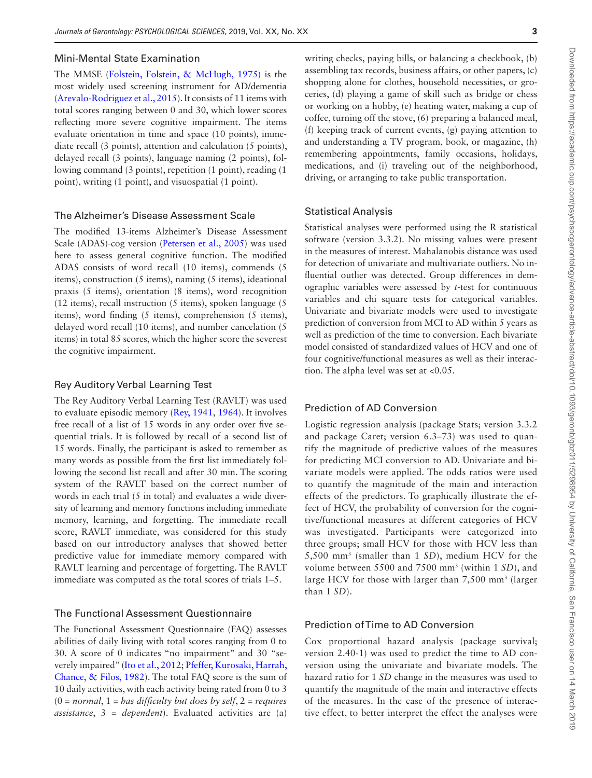#### Mini-Mental State Examination

The MMSE ([Folstein, Folstein, & McHugh, 1975](#page-8-14)) is the most widely used screening instrument for AD/dementia ([Arevalo-Rodriguez et al., 2015](#page-7-2)). It consists of 11 items with total scores ranging between 0 and 30, which lower scores reflecting more severe cognitive impairment. The items evaluate orientation in time and space (10 points), immediate recall (3 points), attention and calculation (5 points), delayed recall (3 points), language naming (2 points), following command (3 points), repetition (1 point), reading (1 point), writing (1 point), and visuospatial (1 point).

#### The Alzheimer's Disease Assessment Scale

The modified 13-items Alzheimer's Disease Assessment Scale (ADAS)-cog version ([Petersen et al., 2005\)](#page-8-11) was used here to assess general cognitive function. The modified ADAS consists of word recall (10 items), commends (5 items), construction (5 items), naming (5 items), ideational praxis (5 items), orientation (8 items), word recognition (12 items), recall instruction (5 items), spoken language (5 items), word finding (5 items), comprehension (5 items), delayed word recall (10 items), and number cancelation (5 items) in total 85 scores, which the higher score the severest the cognitive impairment.

#### Rey Auditory Verbal Learning Test

The Rey Auditory Verbal Learning Test (RAVLT) was used to evaluate episodic memory [\(Rey, 1941](#page-8-15), [1964\)](#page-8-16). It involves free recall of a list of 15 words in any order over five sequential trials. It is followed by recall of a second list of 15 words. Finally, the participant is asked to remember as many words as possible from the first list immediately following the second list recall and after 30 min. The scoring system of the RAVLT based on the correct number of words in each trial (5 in total) and evaluates a wide diversity of learning and memory functions including immediate memory, learning, and forgetting. The immediate recall score, RAVLT immediate, was considered for this study based on our introductory analyses that showed better predictive value for immediate memory compared with RAVLT learning and percentage of forgetting. The RAVLT immediate was computed as the total scores of trials 1–5.

# The Functional Assessment Questionnaire

The Functional Assessment Questionnaire (FAQ) assesses abilities of daily living with total scores ranging from 0 to 30. A score of 0 indicates "no impairment" and 30 "severely impaired" [\(Ito et al., 2012](#page-8-10); [Pfeffer, Kurosaki, Harrah,](#page-8-17)  [Chance, & Filos, 1982](#page-8-17)). The total FAQ score is the sum of 10 daily activities, with each activity being rated from 0 to 3 (0 = *normal*, 1 = *has difficulty but does by self*, 2 = *requires assistance*, 3 = *dependent*). Evaluated activities are (a)

assembling tax records, business affairs, or other papers, (c) shopping alone for clothes, household necessities, or groceries, (d) playing a game of skill such as bridge or chess or working on a hobby, (e) heating water, making a cup of coffee, turning off the stove, (6) preparing a balanced meal, (f) keeping track of current events, (g) paying attention to and understanding a TV program, book, or magazine, (h) remembering appointments, family occasions, holidays, medications, and (i) traveling out of the neighborhood, driving, or arranging to take public transportation.

# Statistical Analysis

Statistical analyses were performed using the R statistical software (version 3.3.2). No missing values were present in the measures of interest. Mahalanobis distance was used for detection of univariate and multivariate outliers. No influential outlier was detected. Group differences in demographic variables were assessed by *t*-test for continuous variables and chi square tests for categorical variables. Univariate and bivariate models were used to investigate prediction of conversion from MCI to AD within 5 years as well as prediction of the time to conversion. Each bivariate model consisted of standardized values of HCV and one of four cognitive/functional measures as well as their interaction. The alpha level was set at <0.05.

## Prediction of AD Conversion

Logistic regression analysis (package Stats; version 3.3.2 and package Caret; version 6.3–73) was used to quantify the magnitude of predictive values of the measures for predicting MCI conversion to AD. Univariate and bivariate models were applied. The odds ratios were used to quantify the magnitude of the main and interaction effects of the predictors. To graphically illustrate the effect of HCV, the probability of conversion for the cognitive/functional measures at different categories of HCV was investigated. Participants were categorized into three groups; small HCV for those with HCV less than 5,500 mm3 (smaller than 1 *SD*), medium HCV for the volume between 5500 and 7500 mm3 (within 1 *SD*), and large HCV for those with larger than 7,500 mm<sup>3</sup> (larger than 1 *SD*).

#### Prediction of Time to AD Conversion

Cox proportional hazard analysis (package survival; version 2.40-1) was used to predict the time to AD conversion using the univariate and bivariate models. The hazard ratio for 1 *SD* change in the measures was used to quantify the magnitude of the main and interactive effects of the measures. In the case of the presence of interactive effect, to better interpret the effect the analyses were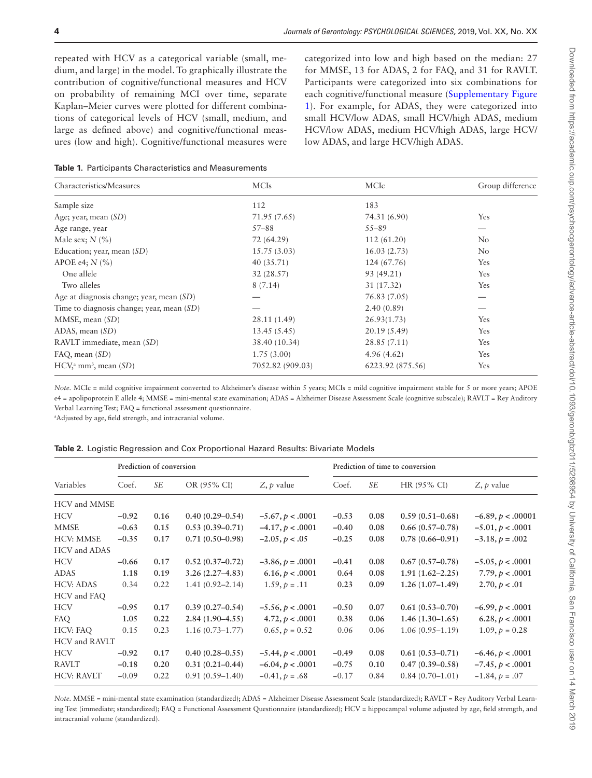repeated with HCV as a categorical variable (small, medium, and large) in the model. To graphically illustrate the contribution of cognitive/functional measures and HCV on probability of remaining MCI over time, separate Kaplan–Meier curves were plotted for different combinations of categorical levels of HCV (small, medium, and large as defined above) and cognitive/functional measures (low and high). Cognitive/functional measures were

categorized into low and high based on the median: 27 for MMSE, 13 for ADAS, 2 for FAQ, and 31 for RAVLT. Participants were categorized into six combinations for each cognitive/functional measure [\(Supplementary Figure](http://academic.oup.com/psychsocgerontology/article-lookup/doi/10.1093/geronb/gbz011#supplementary-data)  [1\)](http://academic.oup.com/psychsocgerontology/article-lookup/doi/10.1093/geronb/gbz011#supplementary-data). For example, for ADAS, they were categorized into small HCV/low ADAS, small HCV/high ADAS, medium HCV/low ADAS, medium HCV/high ADAS, large HCV/ low ADAS, and large HCV/high ADAS.

<span id="page-3-0"></span>

| Characteristics/Measures                        | <b>MCIs</b>      | MCIc             | Group difference |  |
|-------------------------------------------------|------------------|------------------|------------------|--|
| Sample size                                     | 112              | 183              |                  |  |
| Age; year, mean (SD)                            | 71.95 (7.65)     | 74.31 (6.90)     | Yes              |  |
| Age range, year                                 | $57 - 88$        | $55 - 89$        |                  |  |
| Male sex; $N$ (%)                               | 72 (64.29)       | 112(61.20)       | $\rm No$         |  |
| Education; year, mean (SD)                      | 15.75(3.03)      | 16.03(2.73)      | N <sub>0</sub>   |  |
| APOE e4; $N$ $(\% )$                            | 40 (35.71)       | 124 (67.76)      | Yes              |  |
| One allele                                      | 32 (28.57)       | 93 (49.21)       | Yes              |  |
| Two alleles                                     | 8(7.14)          | 31 (17.32)       | Yes              |  |
| Age at diagnosis change; year, mean (SD)        |                  | 76.83 (7.05)     |                  |  |
| Time to diagnosis change; year, mean (SD)       |                  | 2.40(0.89)       |                  |  |
| $MMSE$ , mean $(SD)$                            | 28.11 (1.49)     | 26.93(1.73)      | Yes              |  |
| ADAS, mean $(SD)$                               | 13.45(5.45)      | 20.19(5.49)      | Yes              |  |
| RAVLT immediate, mean (SD)                      | 38.40 (10.34)    | 28.85 (7.11)     | Yes              |  |
| $FAQ$ , mean $(SD)$                             | 1.75(3.00)       | 4.96(4.62)       | Yes              |  |
| $HCVa$ <sup>a</sup> mm <sup>3</sup> , mean (SD) | 7052.82 (909.03) | 6223.92 (875.56) | Yes              |  |
|                                                 |                  |                  |                  |  |

*Note.* MCIc = mild cognitive impairment converted to Alzheimer's disease within 5 years; MCIs = mild cognitive impairment stable for 5 or more years; APOE e4 = apolipoprotein E allele 4; MMSE = mini-mental state examination; ADAS = Alzheimer Disease Assessment Scale (cognitive subscale); RAVLT = Rey Auditory Verbal Learning Test; FAQ = functional assessment questionnaire.

a Adjusted by age, field strength, and intracranial volume.

<span id="page-3-1"></span>

|                     | Prediction of conversion |      |                     | Prediction of time to conversion |         |      |                     |                     |
|---------------------|--------------------------|------|---------------------|----------------------------------|---------|------|---------------------|---------------------|
| Variables           | Coef.                    | SE   | OR (95% CI)         | $Z, p$ value                     | Coef.   | SE   | HR (95% CI)         | $Z, p$ value        |
| <b>HCV</b> and MMSE |                          |      |                     |                                  |         |      |                     |                     |
| <b>HCV</b>          | $-0.92$                  | 0.16 | $0.40(0.29 - 0.54)$ | $-5.67, p < .0001$               | $-0.53$ | 0.08 | $0.59(0.51-0.68)$   | $-6.89, p < .00001$ |
| <b>MMSE</b>         | $-0.63$                  | 0.15 | $0.53(0.39 - 0.71)$ | $-4.17, p < .0001$               | $-0.40$ | 0.08 | $0.66(0.57-0.78)$   | $-5.01, p < .0001$  |
| <b>HCV: MMSE</b>    | $-0.35$                  | 0.17 | $0.71(0.50-0.98)$   | $-2.05, p < .05$                 | $-0.25$ | 0.08 | $0.78(0.66 - 0.91)$ | $-3.18, p = .002$   |
| HCV and ADAS        |                          |      |                     |                                  |         |      |                     |                     |
| <b>HCV</b>          | $-0.66$                  | 0.17 | $0.52(0.37-0.72)$   | $-3.86, p = .0001$               | $-0.41$ | 0.08 | $0.67(0.57-0.78)$   | $-5.05, p < .0001$  |
| <b>ADAS</b>         | 1.18                     | 0.19 | $3.26(2.27 - 4.83)$ | 6.16, p < .0001                  | 0.64    | 0.08 | $1.91(1.62 - 2.25)$ | 7.79, p < .0001     |
| <b>HCV: ADAS</b>    | 0.34                     | 0.22 | $1.41(0.92 - 2.14)$ | $1.59, p = .11$                  | 0.23    | 0.09 | $1.26(1.07-1.49)$   | 2.70, p < .01       |
| HCV and FAQ         |                          |      |                     |                                  |         |      |                     |                     |
| <b>HCV</b>          | $-0.95$                  | 0.17 | $0.39(0.27-0.54)$   | $-5.56, p < .0001$               | $-0.50$ | 0.07 | $0.61(0.53 - 0.70)$ | $-6.99, p < .0001$  |
| FAQ                 | 1.05                     | 0.22 | $2.84(1.90-4.55)$   | 4.72, p < .0001                  | 0.38    | 0.06 | $1.46(1.30-1.65)$   | 6.28, p < .0001     |
| HCV: FAO            | 0.15                     | 0.23 | $1.16(0.73 - 1.77)$ | $0.65, p = 0.52$                 | 0.06    | 0.06 | $1.06(0.95-1.19)$   | $1.09, p = 0.28$    |
| HCV and RAVLT       |                          |      |                     |                                  |         |      |                     |                     |
| <b>HCV</b>          | $-0.92$                  | 0.17 | $0.40(0.28 - 0.55)$ | $-5.44, p < .0001$               | $-0.49$ | 0.08 | $0.61(0.53 - 0.71)$ | $-6.46, p < .0001$  |
| <b>RAVLT</b>        | $-0.18$                  | 0.20 | $0.31(0.21 - 0.44)$ | $-6.04, p < .0001$               | $-0.75$ | 0.10 | $0.47(0.39 - 0.58)$ | $-7.45, p < .0001$  |
| <b>HCV: RAVLT</b>   | $-0.09$                  | 0.22 | $0.91(0.59 - 1.40)$ | $-0.41, p = .68$                 | $-0.17$ | 0.84 | $0.84(0.70-1.01)$   | $-1.84, p = .07$    |

*Note.* MMSE = mini-mental state examination (standardized); ADAS = Alzheimer Disease Assessment Scale (standardized); RAVLT = Rey Auditory Verbal Learning Test (immediate; standardized); FAQ = Functional Assessment Questionnaire (standardized); HCV = hippocampal volume adjusted by age, field strength, and intracranial volume (standardized).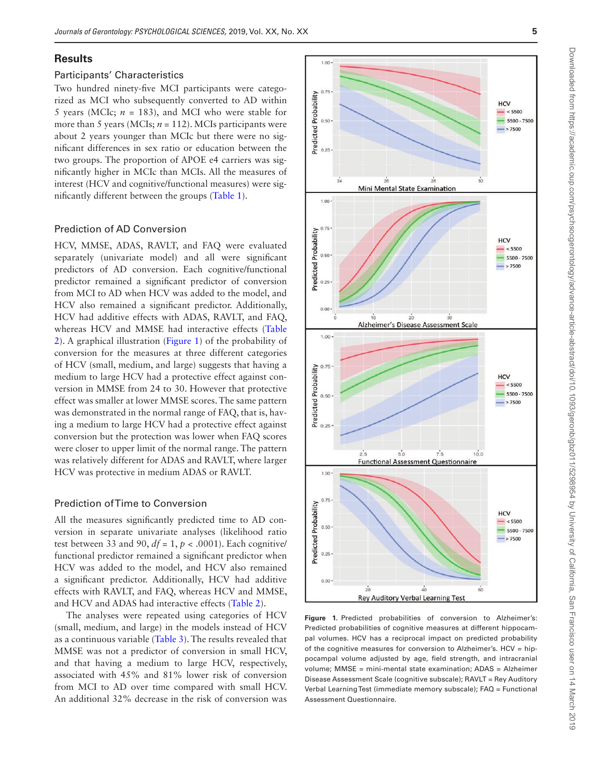# **Results**

#### Participants' Characteristics

Two hundred ninety-five MCI participants were categorized as MCI who subsequently converted to AD within 5 years (MCIc;  $n = 183$ ), and MCI who were stable for more than 5 years (MCIs;  $n = 112$ ). MCIs participants were about 2 years younger than MCIc but there were no significant differences in sex ratio or education between the two groups. The proportion of APOE e4 carriers was significantly higher in MCIc than MCIs. All the measures of interest (HCV and cognitive/functional measures) were significantly different between the groups ([Table 1](#page-3-0)).

# Prediction of AD Conversion

HCV, MMSE, ADAS, RAVLT, and FAQ were evaluated separately (univariate model) and all were significant predictors of AD conversion. Each cognitive/functional predictor remained a significant predictor of conversion from MCI to AD when HCV was added to the model, and HCV also remained a significant predictor. Additionally, HCV had additive effects with ADAS, RAVLT, and FAQ, whereas HCV and MMSE had interactive effects ([Table](#page-3-1)  [2\)](#page-3-1). A graphical illustration [\(Figure 1\)](#page-4-0) of the probability of conversion for the measures at three different categories of HCV (small, medium, and large) suggests that having a medium to large HCV had a protective effect against conversion in MMSE from 24 to 30. However that protective effect was smaller at lower MMSE scores. The same pattern was demonstrated in the normal range of FAQ, that is, having a medium to large HCV had a protective effect against conversion but the protection was lower when FAQ scores were closer to upper limit of the normal range. The pattern was relatively different for ADAS and RAVLT, where larger HCV was protective in medium ADAS or RAVLT.

## Prediction of Time to Conversion

All the measures significantly predicted time to AD conversion in separate univariate analyses (likelihood ratio test between 33 and 90,  $df = 1$ ,  $p < .0001$ ). Each cognitive/ functional predictor remained a significant predictor when HCV was added to the model, and HCV also remained a significant predictor. Additionally, HCV had additive effects with RAVLT, and FAQ, whereas HCV and MMSE, and HCV and ADAS had interactive effects ([Table 2](#page-3-1)).

The analyses were repeated using categories of HCV (small, medium, and large) in the models instead of HCV as a continuous variable ([Table 3\)](#page-5-0). The results revealed that MMSE was not a predictor of conversion in small HCV, and that having a medium to large HCV, respectively, associated with 45% and 81% lower risk of conversion from MCI to AD over time compared with small HCV. An additional 32% decrease in the risk of conversion was



<span id="page-4-0"></span>**Figure 1.** Predicted probabilities of conversion to Alzheimer's: Predicted probabilities of cognitive measures at different hippocampal volumes. HCV has a reciprocal impact on predicted probability of the cognitive measures for conversion to Alzheimer's.  $HCV = hip$ pocampal volume adjusted by age, field strength, and intracranial volume; MMSE = mini-mental state examination; ADAS = Alzheimer Disease Assessment Scale (cognitive subscale); RAVLT = Rey Auditory Verbal Learning Test (immediate memory subscale); FAQ = Functional Assessment Questionnaire.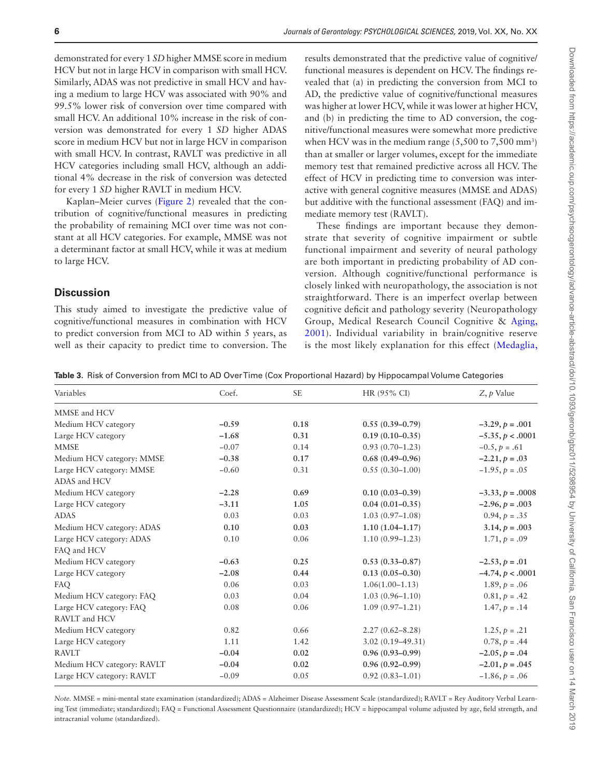demonstrated for every 1 *SD* higher MMSE score in medium HCV but not in large HCV in comparison with small HCV. Similarly, ADAS was not predictive in small HCV and having a medium to large HCV was associated with 90% and 99.5% lower risk of conversion over time compared with small HCV. An additional 10% increase in the risk of conversion was demonstrated for every 1 *SD* higher ADAS score in medium HCV but not in large HCV in comparison with small HCV. In contrast, RAVLT was predictive in all HCV categories including small HCV, although an additional 4% decrease in the risk of conversion was detected for every 1 *SD* higher RAVLT in medium HCV.

Kaplan–Meier curves ([Figure 2\)](#page-6-0) revealed that the contribution of cognitive/functional measures in predicting the probability of remaining MCI over time was not constant at all HCV categories. For example, MMSE was not a determinant factor at small HCV, while it was at medium to large HCV.

#### **Discussion**

This study aimed to investigate the predictive value of cognitive/functional measures in combination with HCV to predict conversion from MCI to AD within 5 years, as well as their capacity to predict time to conversion. The

results demonstrated that the predictive value of cognitive/ functional measures is dependent on HCV. The findings revealed that (a) in predicting the conversion from MCI to AD, the predictive value of cognitive/functional measures was higher at lower HCV, while it was lower at higher HCV, and (b) in predicting the time to AD conversion, the cognitive/functional measures were somewhat more predictive when HCV was in the medium range  $(5,500 \text{ to } 7,500 \text{ mm}^3)$ than at smaller or larger volumes, except for the immediate memory test that remained predictive across all HCV. The effect of HCV in predicting time to conversion was interactive with general cognitive measures (MMSE and ADAS) but additive with the functional assessment (FAQ) and immediate memory test (RAVLT).

These findings are important because they demonstrate that severity of cognitive impairment or subtle functional impairment and severity of neural pathology are both important in predicting probability of AD conversion. Although cognitive/functional performance is closely linked with neuropathology, the association is not straightforward. There is an imperfect overlap between cognitive deficit and pathology severity (Neuropathology Group, Medical Research Council Cognitive & [Aging,](#page-8-18)  [2001\)](#page-8-18). Individual variability in brain/cognitive reserve is the most likely explanation for this effect ([Medaglia,](#page-8-19) 

<span id="page-5-0"></span>**Table 3.** Risk of Conversion from MCI to AD Over Time (Cox Proportional Hazard) by Hippocampal Volume Categories

| Variables                  | Coef.   | <b>SE</b> | HR (95% CI)          | $Z, p$ Value       |
|----------------------------|---------|-----------|----------------------|--------------------|
| MMSE and HCV               |         |           |                      |                    |
| Medium HCV category        | $-0.59$ | 0.18      | $0.55(0.39-0.79)$    | $-3.29, p = .001$  |
| Large HCV category         | $-1.68$ | 0.31      | $0.19(0.10 - 0.35)$  | $-5.35, p < .0001$ |
| <b>MMSE</b>                | $-0.07$ | 0.14      | $0.93(0.70 - 1.23)$  | $-0.5, p = .61$    |
| Medium HCV category: MMSE  | $-0.38$ | 0.17      | $0.68(0.49 - 0.96)$  | $-2.21, p = .03$   |
| Large HCV category: MMSE   | $-0.60$ | 0.31      | $0.55(0.30-1.00)$    | $-1.95, p = .05$   |
| ADAS and HCV               |         |           |                      |                    |
| Medium HCV category        | $-2.28$ | 0.69      | $0.10(0.03 - 0.39)$  | $-3.33, p = .0008$ |
| Large HCV category         | $-3.11$ | 1.05      | $0.04(0.01 - 0.35)$  | $-2.96, p = .003$  |
| <b>ADAS</b>                | 0.03    | 0.03      | $1.03(0.97-1.08)$    | $0.94, p = .35$    |
| Medium HCV category: ADAS  | 0.10    | 0.03      | $1.10(1.04 - 1.17)$  | $3.14, p = .003$   |
| Large HCV category: ADAS   | 0.10    | 0.06      | $1.10(0.99 - 1.23)$  | $1.71, p = .09$    |
| FAO and HCV                |         |           |                      |                    |
| Medium HCV category        | $-0.63$ | 0.25      | $0.53(0.33 - 0.87)$  | $-2.53, p = .01$   |
| Large HCV category         | $-2.08$ | 0.44      | $0.13(0.05 - 0.30)$  | $-4.74, p < .0001$ |
| FAQ                        | 0.06    | 0.03      | $1.06(1.00-1.13)$    | $1.89, p = .06$    |
| Medium HCV category: FAQ   | 0.03    | 0.04      | $1.03(0.96 - 1.10)$  | $0.81, p = .42$    |
| Large HCV category: FAQ    | 0.08    | 0.06      | $1.09(0.97 - 1.21)$  | $1.47, p = .14$    |
| RAVLT and HCV              |         |           |                      |                    |
| Medium HCV category        | 0.82    | 0.66      | $2.27(0.62 - 8.28)$  | $1.25, p = .21$    |
| Large HCV category         | 1.11    | 1.42      | $3.02(0.19 - 49.31)$ | $0.78, p = .44$    |
| <b>RAVLT</b>               | $-0.04$ | 0.02      | $0.96(0.93 - 0.99)$  | $-2.05, p = .04$   |
| Medium HCV category: RAVLT | $-0.04$ | 0.02      | $0.96(0.92 - 0.99)$  | $-2.01, p = .045$  |
| Large HCV category: RAVLT  | $-0.09$ | 0.05      | $0.92(0.83 - 1.01)$  | $-1.86, p = .06$   |

*Note.* MMSE = mini-mental state examination (standardized); ADAS = Alzheimer Disease Assessment Scale (standardized); RAVLT = Rey Auditory Verbal Learning Test (immediate; standardized); FAQ = Functional Assessment Questionnaire (standardized); HCV = hippocampal volume adjusted by age, field strength, and intracranial volume (standardized).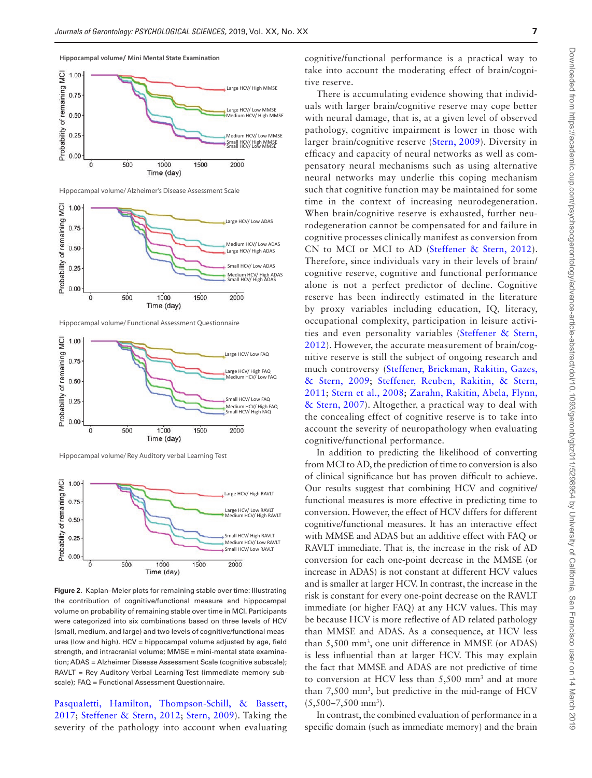





**Hippocampal volume/ Alzheimer's Disease Assessment Scale** 



**Hippocampal volume/ Functional Assessment Questionnaire** 



**Hippocampal volume/ Rey Auditory verbal Learning Test** 



<span id="page-6-0"></span>**Figure 2.** Kaplan–Meier plots for remaining stable over time: Illustrating the contribution of cognitive/functional measure and hippocampal volume on probability of remaining stable over time in MCI. Participants were categorized into six combinations based on three levels of HCV (small, medium, and large) and two levels of cognitive/functional measures (low and high). HCV = hippocampal volume adjusted by age, field strength, and intracranial volume; MMSE = mini-mental state examination; ADAS = Alzheimer Disease Assessment Scale (cognitive subscale); RAVLT = Rey Auditory Verbal Learning Test (immediate memory subscale); FAQ = Functional Assessment Questionnaire.

[Pasqualetti, Hamilton, Thompson-Schill, & Bassett,](#page-8-19)  [2017;](#page-8-19) [Steffener & Stern, 2012;](#page-8-6) [Stern, 2009\)](#page-8-20). Taking the severity of the pathology into account when evaluating

cognitive/functional performance is a practical way to take into account the moderating effect of brain/cognitive reserve.

There is accumulating evidence showing that individuals with larger brain/cognitive reserve may cope better with neural damage, that is, at a given level of observed pathology, cognitive impairment is lower in those with larger brain/cognitive reserve ([Stern, 2009](#page-8-20)). Diversity in efficacy and capacity of neural networks as well as compensatory neural mechanisms such as using alternative neural networks may underlie this coping mechanism such that cognitive function may be maintained for some time in the context of increasing neurodegeneration. When brain/cognitive reserve is exhausted, further neurodegeneration cannot be compensated for and failure in cognitive processes clinically manifest as conversion from CN to MCI or MCI to AD [\(Steffener & Stern, 2012](#page-8-6)). Therefore, since individuals vary in their levels of brain/ cognitive reserve, cognitive and functional performance alone is not a perfect predictor of decline. Cognitive reserve has been indirectly estimated in the literature by proxy variables including education, IQ, literacy, occupational complexity, participation in leisure activities and even personality variables ([Steffener & Stern,](#page-8-6)  [2012\)](#page-8-6). However, the accurate measurement of brain/cognitive reserve is still the subject of ongoing research and much controversy ([Steffener, Brickman, Rakitin, Gazes,](#page-8-21)  [& Stern, 2009;](#page-8-21) [Steffener, Reuben, Rakitin, & Stern,](#page-8-22)  [2011;](#page-8-22) [Stern et al., 2008](#page-8-23); [Zarahn, Rakitin, Abela, Flynn,](#page-9-2)  [& Stern, 2007\)](#page-9-2). Altogether, a practical way to deal with the concealing effect of cognitive reserve is to take into account the severity of neuropathology when evaluating cognitive/functional performance.

In addition to predicting the likelihood of converting from MCI to AD, the prediction of time to conversion is also of clinical significance but has proven difficult to achieve. Our results suggest that combining HCV and cognitive/ functional measures is more effective in predicting time to conversion. However, the effect of HCV differs for different cognitive/functional measures. It has an interactive effect with MMSE and ADAS but an additive effect with FAQ or RAVLT immediate. That is, the increase in the risk of AD conversion for each one-point decrease in the MMSE (or increase in ADAS) is not constant at different HCV values and is smaller at larger HCV. In contrast, the increase in the risk is constant for every one-point decrease on the RAVLT immediate (or higher FAQ) at any HCV values. This may be because HCV is more reflective of AD related pathology than MMSE and ADAS. As a consequence, at HCV less than 5,500 mm3 , one unit difference in MMSE (or ADAS) is less influential than at larger HCV. This may explain the fact that MMSE and ADAS are not predictive of time to conversion at HCV less than 5,500 mm<sup>3</sup> and at more than 7,500 mm3 , but predictive in the mid-range of HCV  $(5,500-7,500$  mm<sup>3</sup>).

In contrast, the combined evaluation of performance in a specific domain (such as immediate memory) and the brain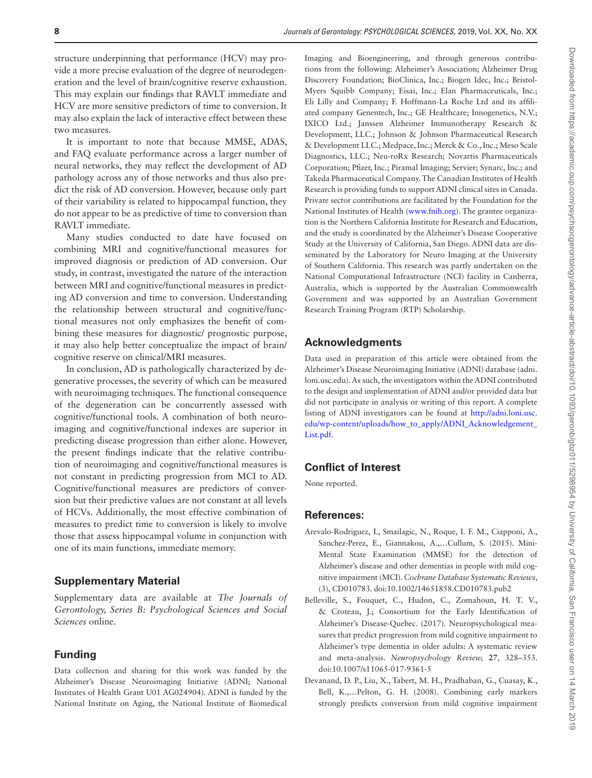structure underpinning that performance (HCV) may provide a more precise evaluation of the degree of neurodegeneration and the level of brain/cognitive reserve exhaustion. This may explain our findings that RAVLT immediate and HCV are more sensitive predictors of time to conversion. It may also explain the lack of interactive effect between these two measures.

It is important to note that because MMSE, ADAS, and FAQ evaluate performance across a larger number of neural networks, they may reflect the development of AD pathology across any of those networks and thus also predict the risk of AD conversion. However, because only part of their variability is related to hippocampal function, they do not appear to be as predictive of time to conversion than RAVLT immediate.

Many studies conducted to date have focused on combining MRI and cognitive/functional measures for improved diagnosis or prediction of AD conversion. Our study, in contrast, investigated the nature of the interaction between MRI and cognitive/functional measures in predicting AD conversion and time to conversion. Understanding the relationship between structural and cognitive/functional measures not only emphasizes the benefit of combining these measures for diagnostic/ prognostic purpose, it may also help better conceptualize the impact of brain/ cognitive reserve on clinical/MRI measures.

In conclusion, AD is pathologically characterized by degenerative processes, the severity of which can be measured with neuroimaging techniques. The functional consequence of the degeneration can be concurrently assessed with cognitive/functional tools. A combination of both neuroimaging and cognitive/functional indexes are superior in predicting disease progression than either alone. However, the present findings indicate that the relative contribution of neuroimaging and cognitive/functional measures is not constant in predicting progression from MCI to AD. Cognitive/functional measures are predictors of conversion but their predictive values are not constant at all levels of HCVs. Additionally, the most effective combination of measures to predict time to conversion is likely to involve those that assess hippocampal volume in conjunction with one of its main functions, immediate memory.

# **Supplementary Material**

Supplementary data are available at *The Journals of Gerontology, Series B: Psychological Sciences and Social Sciences* online.

# **Funding**

Data collection and sharing for this work was funded by the Alzheimer's Disease Neuroimaging Initiative (ADNI; National Institutes of Health Grant U01 AG024904). ADNI is funded by the National Institute on Aging, the National Institute of Biomedical Imaging and Bioengineering, and through generous contributions from the following: Alzheimer's Association; Alzheimer Drug Discovery Foundation; BioClinica, Inc.; Biogen Idec, Inc.; Bristol-Myers Squibb Company; Eisai, Inc.; Elan Pharmaceuticals, Inc.; Eli Lilly and Company; F. Hoffmann-La Roche Ltd and its affiliated company Genentech, Inc.; GE Healthcare; Innogenetics, N.V.; IXICO Ltd.; Janssen Alzheimer Immunotherapy Research & Development, LLC.; Johnson & Johnson Pharmaceutical Research & Development LLC.; Medpace, Inc.; Merck & Co., Inc.; Meso Scale Diagnostics, LLC.; Neu-roRx Research; Novartis Pharmaceuticals Corporation; Pfizer, Inc.; Piramal Imaging; Servier; Synarc, Inc.; and Takeda Pharmaceutical Company. The Canadian Institutes of Health Research is providing funds to support ADNI clinical sites in Canada. Private sector contributions are facilitated by the Foundation for the National Institutes of Health ([www.fnih.org\)](http://www.fnih.org). The grantee organization is the Northern California Institute for Research and Education, and the study is coordinated by the Alzheimer's Disease Cooperative Study at the University of California, San Diego. ADNI data are disseminated by the Laboratory for Neuro Imaging at the University of Southern California. This research was partly undertaken on the National Computational Infrastructure (NCI) facility in Canberra, Australia, which is supported by the Australian Commonwealth Government and was supported by an Australian Government Research Training Program (RTP) Scholarship.

#### **Acknowledgments**

Data used in preparation of this article were obtained from the Alzheimer's Disease Neuroimaging Initiative (ADNI) database (adni. loni.usc.edu). As such, the investigators within the ADNI contributed to the design and implementation of ADNI and/or provided data but did not participate in analysis or writing of this report. A complete listing of ADNI investigators can be found at [http://adni.loni.usc.](http://adni.loni.usc.edu/wp-content/uploads/how_to_apply/ADNI_Acknowledgement_List.pdf) [edu/wp-content/uploads/how\\_to\\_apply/ADNI\\_Acknowledgement\\_](http://adni.loni.usc.edu/wp-content/uploads/how_to_apply/ADNI_Acknowledgement_List.pdf) [List.pdf](http://adni.loni.usc.edu/wp-content/uploads/how_to_apply/ADNI_Acknowledgement_List.pdf).

# **Conflict of Interest**

None reported.

#### **References:**

- <span id="page-7-2"></span>Arevalo-Rodriguez, I., Smailagic, N., Roque, I. F. M., Ciapponi, A., Sanchez-Perez, E., Giannakou, A.,…Cullum, S. (2015). Mini-Mental State Examination (MMSE) for the detection of Alzheimer's disease and other dementias in people with mild cognitive impairment (MCI). *Cochrane Database Systematic Reviews*, (3), CD010783. doi:10.1002/14651858.CD010783.pub2
- <span id="page-7-0"></span>Belleville, S., Fouquet, C., Hudon, C., Zomahoun, H. T. V., & Croteau, J.; Consortium for the Early Identification of Alzheimer's Disease-Quebec. (2017). Neuropsychological measures that predict progression from mild cognitive impairment to Alzheimer's type dementia in older adults: A systematic review and meta-analysis. *Neuropsychology Review,* **27**, 328–353. doi:10.1007/s11065-017-9361-5
- <span id="page-7-1"></span>Devanand, D. P., Liu, X., Tabert, M. H., Pradhaban, G., Cuasay, K., Bell, K.,…Pelton, G. H. (2008). Combining early markers strongly predicts conversion from mild cognitive impairment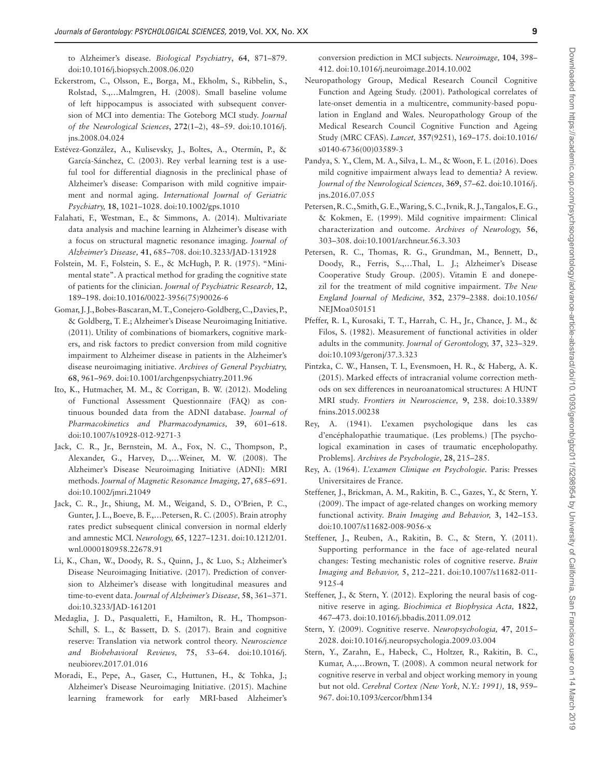to Alzheimer's disease. *Biological Psychiatry*, **64**, 871–879. doi:10.1016/j.biopsych.2008.06.020

- <span id="page-8-12"></span>Eckerstrom, C., Olsson, E., Borga, M., Ekholm, S., Ribbelin, S., Rolstad, S.,…Malmgren, H. (2008). Small baseline volume of left hippocampus is associated with subsequent conversion of MCI into dementia: The Goteborg MCI study. *Journal of the Neurological Sciences*, **272**(1–2), 48–59. doi:10.1016/j. jns.2008.04.024
- <span id="page-8-9"></span>Estévez-González, A., Kulisevsky, J., Boltes, A., Otermín, P., & García-Sánchez, C. (2003). Rey verbal learning test is a useful tool for differential diagnosis in the preclinical phase of Alzheimer's disease: Comparison with mild cognitive impairment and normal aging. *International Journal of Geriatric Psychiatry,* **18**, 1021–1028. doi:10.1002/gps.1010
- <span id="page-8-4"></span>Falahati, F., Westman, E., & Simmons, A. (2014). Multivariate data analysis and machine learning in Alzheimer's disease with a focus on structural magnetic resonance imaging. *Journal of Alzheimer's Disease,* **41**, 685–708. doi:10.3233/JAD-131928
- <span id="page-8-14"></span>Folstein, M. F., Folstein, S. E., & McHugh, P. R. (1975). "Minimental state". A practical method for grading the cognitive state of patients for the clinician. *Journal of Psychiatric Research,* **12**, 189–198. doi:10.1016/0022-3956(75)90026-6
- <span id="page-8-2"></span>Gomar, J. J., Bobes-Bascaran, M. T., Conejero-Goldberg, C., Davies, P., & Goldberg, T. E.; Alzheimer's Disease Neuroimaging Initiative. (2011). Utility of combinations of biomarkers, cognitive markers, and risk factors to predict conversion from mild cognitive impairment to Alzheimer disease in patients in the Alzheimer's disease neuroimaging initiative. *Archives of General Psychiatry,* **68**, 961–969. doi:10.1001/archgenpsychiatry.2011.96
- <span id="page-8-10"></span>Ito, K., Hutmacher, M. M., & Corrigan, B. W. (2012). Modeling of Functional Assessment Questionnaire (FAQ) as continuous bounded data from the ADNI database. *Journal of Pharmacokinetics and Pharmacodynamics,* **39**, 601–618. doi:10.1007/s10928-012-9271-3
- <span id="page-8-8"></span>Jack, C. R., Jr., Bernstein, M. A., Fox, N. C., Thompson, P., Alexander, G., Harvey, D.,…Weiner, M. W. (2008). The Alzheimer's Disease Neuroimaging Initiative (ADNI): MRI methods. *Journal of Magnetic Resonance Imaging,* **27**, 685–691. doi:10.1002/jmri.21049
- <span id="page-8-7"></span>Jack, C. R., Jr., Shiung, M. M., Weigand, S. D., O'Brien, P. C., Gunter, J. L., Boeve, B. F.,…Petersen, R. C. (2005). Brain atrophy rates predict subsequent clinical conversion in normal elderly and amnestic MCI. *Neurology,* **65**, 1227–1231. doi:10.1212/01. wnl.0000180958.22678.91
- <span id="page-8-3"></span>Li, K., Chan, W., Doody, R. S., Quinn, J., & Luo, S.; Alzheimer's Disease Neuroimaging Initiative. (2017). Prediction of conversion to Alzheimer's disease with longitudinal measures and time-to-event data. *Journal of Alzheimer's Disease,* **58**, 361–371. doi:10.3233/JAD-161201
- <span id="page-8-19"></span>Medaglia, J. D., Pasqualetti, F., Hamilton, R. H., Thompson-Schill, S. L., & Bassett, D. S. (2017). Brain and cognitive reserve: Translation via network control theory. *Neuroscience and Biobehavioral Reviews,* **75**, 53–64. doi:10.1016/j. neubiorev.2017.01.016
- <span id="page-8-5"></span>Moradi, E., Pepe, A., Gaser, C., Huttunen, H., & Tohka, J.; Alzheimer's Disease Neuroimaging Initiative. (2015). Machine learning framework for early MRI-based Alzheimer's

conversion prediction in MCI subjects. *Neuroimage,* **104**, 398– 412. doi:10.1016/j.neuroimage.2014.10.002

- <span id="page-8-18"></span>Neuropathology Group, Medical Research Council Cognitive Function and Ageing Study. (2001). Pathological correlates of late-onset dementia in a multicentre, community-based population in England and Wales. Neuropathology Group of the Medical Research Council Cognitive Function and Ageing Study (MRC CFAS). *Lancet,* **357**(9251), 169–175. doi:10.1016/ s0140-6736(00)03589-3
- <span id="page-8-1"></span>Pandya, S. Y., Clem, M. A., Silva, L. M., & Woon, F. L. (2016). Does mild cognitive impairment always lead to dementia? A review. *Journal of the Neurological Sciences,* **369**, 57–62. doi:10.1016/j. jns.2016.07.055
- <span id="page-8-0"></span>Petersen, R. C., Smith, G. E., Waring, S. C., Ivnik, R. J., Tangalos, E. G., & Kokmen, E. (1999). Mild cognitive impairment: Clinical characterization and outcome. *Archives of Neurology,* **56**, 303–308. doi:10.1001/archneur.56.3.303
- <span id="page-8-11"></span>Petersen, R. C., Thomas, R. G., Grundman, M., Bennett, D., Doody, R., Ferris, S.,…Thal, L. J.; Alzheimer's Disease Cooperative Study Group. (2005). Vitamin E and donepezil for the treatment of mild cognitive impairment. *The New England Journal of Medicine,* **352**, 2379–2388. doi:10.1056/ NEJMoa050151
- <span id="page-8-17"></span>Pfeffer, R. I., Kurosaki, T. T., Harrah, C. H., Jr., Chance, J. M., & Filos, S. (1982). Measurement of functional activities in older adults in the community. *Journal of Gerontology,* **37**, 323–329. doi:10.1093/geronj/37.3.323
- <span id="page-8-13"></span>Pintzka, C. W., Hansen, T. I., Evensmoen, H. R., & Haberg, A. K. (2015). Marked effects of intracranial volume correction methods on sex differences in neuroanatomical structures: A HUNT MRI study. *Frontiers in Neuroscience,* **9**, 238. doi:10.3389/ fnins.2015.00238
- <span id="page-8-15"></span>Rey, A. (1941). L'examen psychologique dans les cas d'encéphalopathie traumatique. (Les problems.) [The psychological examination in cases of traumatic encepholopathy. Problems]. *Archives de Psychologie,* **28**, 215–285.
- <span id="page-8-16"></span>Rey, A. (1964). *L'examen Clinique en Psychologie.* Paris: Presses Universitaires de France.
- <span id="page-8-21"></span>Steffener, J., Brickman, A. M., Rakitin, B. C., Gazes, Y., & Stern, Y. (2009). The impact of age-related changes on working memory functional activity. *Brain Imaging and Behavior,* **3**, 142–153. doi:10.1007/s11682-008-9056-x
- <span id="page-8-22"></span>Steffener, J., Reuben, A., Rakitin, B. C., & Stern, Y. (2011). Supporting performance in the face of age-related neural changes: Testing mechanistic roles of cognitive reserve. *Brain Imaging and Behavior,* **5**, 212–221. doi:10.1007/s11682-011- 9125-4
- <span id="page-8-6"></span>Steffener, J., & Stern, Y. (2012). Exploring the neural basis of cognitive reserve in aging. *Biochimica et Biophysica Acta,* **1822**, 467–473. doi:10.1016/j.bbadis.2011.09.012
- <span id="page-8-20"></span>Stern, Y. (2009). Cognitive reserve. *Neuropsychologia,* **47**, 2015– 2028. doi:10.1016/j.neuropsychologia.2009.03.004
- <span id="page-8-23"></span>Stern, Y., Zarahn, E., Habeck, C., Holtzer, R., Rakitin, B. C., Kumar, A.,…Brown, T. (2008). A common neural network for cognitive reserve in verbal and object working memory in young but not old. *Cerebral Cortex (New York, N.Y.: 1991),* **18**, 959– 967. doi:10.1093/cercor/bhm134